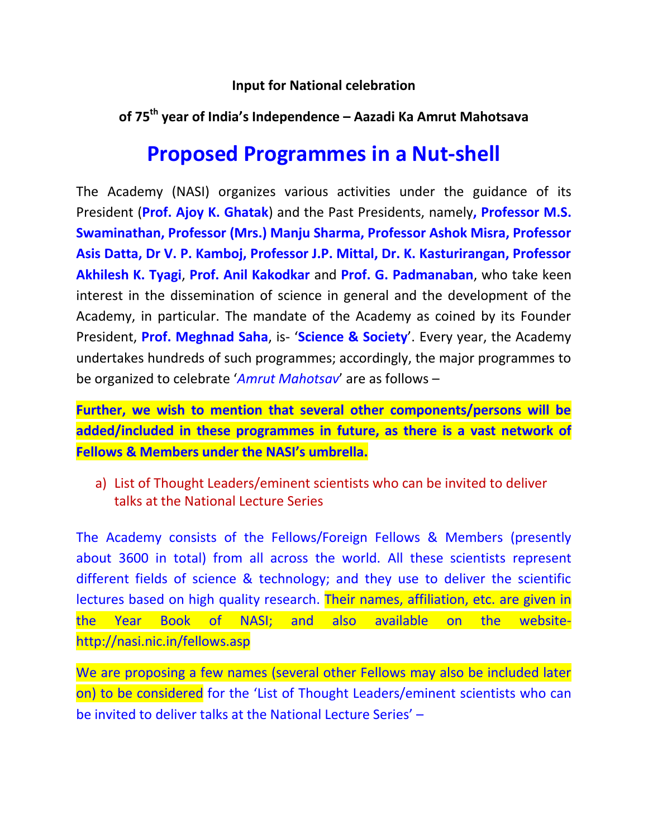#### **Input for National celebration**

## **of 75th year of India's Independence – Aazadi Ka Amrut Mahotsava**

# **Proposed Programmes in a Nut-shell**

The Academy (NASI) organizes various activities under the guidance of its President (**Prof. Ajoy K. Ghatak**) and the Past Presidents, namely**, Professor M.S. Swaminathan, Professor (Mrs.) Manju Sharma, Professor Ashok Misra, Professor Asis Datta, Dr V. P. Kamboj, Professor J.P. Mittal, Dr. K. Kasturirangan, Professor Akhilesh K. Tyagi**, **Prof. Anil Kakodkar** and **Prof. G. Padmanaban**, who take keen interest in the dissemination of science in general and the development of the Academy, in particular. The mandate of the Academy as coined by its Founder President, **Prof. Meghnad Saha**, is- '**Science & Society**'. Every year, the Academy undertakes hundreds of such programmes; accordingly, the major programmes to be organized to celebrate '*Amrut Mahotsav*' are as follows –

**Further, we wish to mention that several other components/persons will be added/included in these programmes in future, as there is a vast network of Fellows & Members under the NASI's umbrella.**

a) List of Thought Leaders/eminent scientists who can be invited to deliver talks at the National Lecture Series

The Academy consists of the Fellows/Foreign Fellows & Members (presently about 3600 in total) from all across the world. All these scientists represent different fields of science & technology; and they use to deliver the scientific lectures based on high quality research. Their names, affiliation, etc. are given in the Year Book of NASI; and also available on the websitehttp://nasi.nic.in/fellows.asp

We are proposing a few names (several other Fellows may also be included later on) to be considered for the 'List of Thought Leaders/eminent scientists who can be invited to deliver talks at the National Lecture Series' –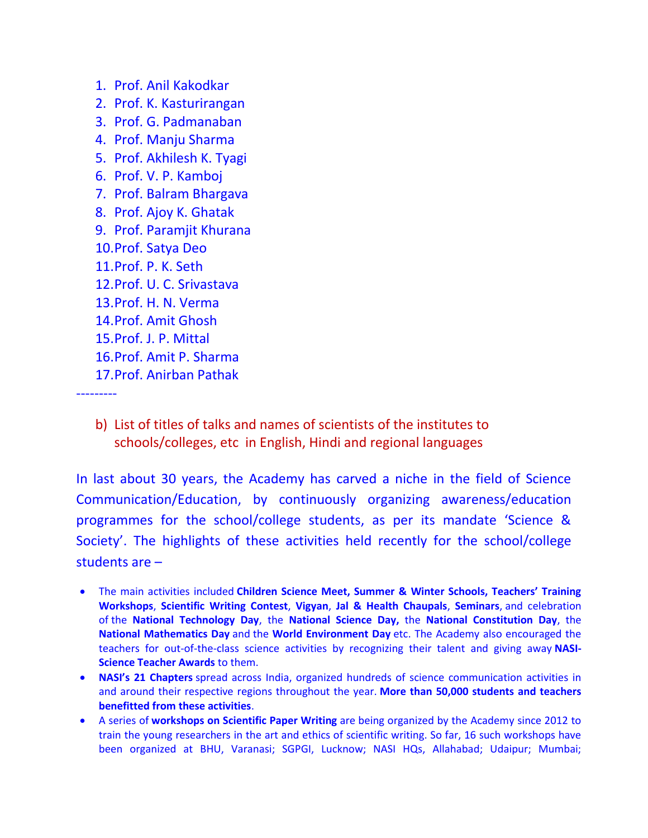- 1. Prof. Anil Kakodkar
- 2. Prof. K. Kasturirangan
- 3. Prof. G. Padmanaban
- 4. Prof. Manju Sharma
- 5. Prof. Akhilesh K. Tyagi
- 6. Prof. V. P. Kamboj
- 7. Prof. Balram Bhargava
- 8. Prof. Ajoy K. Ghatak
- 9. Prof. Paramjit Khurana
- 10.Prof. Satya Deo
- 11.Prof. P. K. Seth
- 12.Prof. U. C. Srivastava
- 13.Prof. H. N. Verma
- 14.Prof. Amit Ghosh
- 15.Prof. J. P. Mittal
- 16.Prof. Amit P. Sharma
- 17.Prof. Anirban Pathak

---------

b) List of titles of talks and names of scientists of the institutes to schools/colleges, etc in English, Hindi and regional languages

In last about 30 years, the Academy has carved a niche in the field of Science Communication/Education, by continuously organizing awareness/education programmes for the school/college students, as per its mandate 'Science & Society'. The highlights of these activities held recently for the school/college students are –

- The main activities included **Children Science Meet, Summer & Winter Schools, Teachers' Training Workshops**, **Scientific Writing Contest**, **Vigyan**, **Jal & Health Chaupals**, **Seminars**, and celebration of the **National Technology Day**, the **National Science Day,** the **National Constitution Day**, the **National Mathematics Day** and the **World Environment Day** etc. The Academy also encouraged the teachers for out-of-the-class science activities by recognizing their talent and giving away **NASI-Science Teacher Awards** to them.
- **NASI's 21 Chapters** spread across India, organized hundreds of science communication activities in and around their respective regions throughout the year. **More than 50,000 students and teachers benefitted from these activities**.
- A series of **workshops on Scientific Paper Writing** are being organized by the Academy since 2012 to train the young researchers in the art and ethics of scientific writing. So far, 16 such workshops have been organized at BHU, Varanasi; SGPGI, Lucknow; NASI HQs, Allahabad; Udaipur; Mumbai;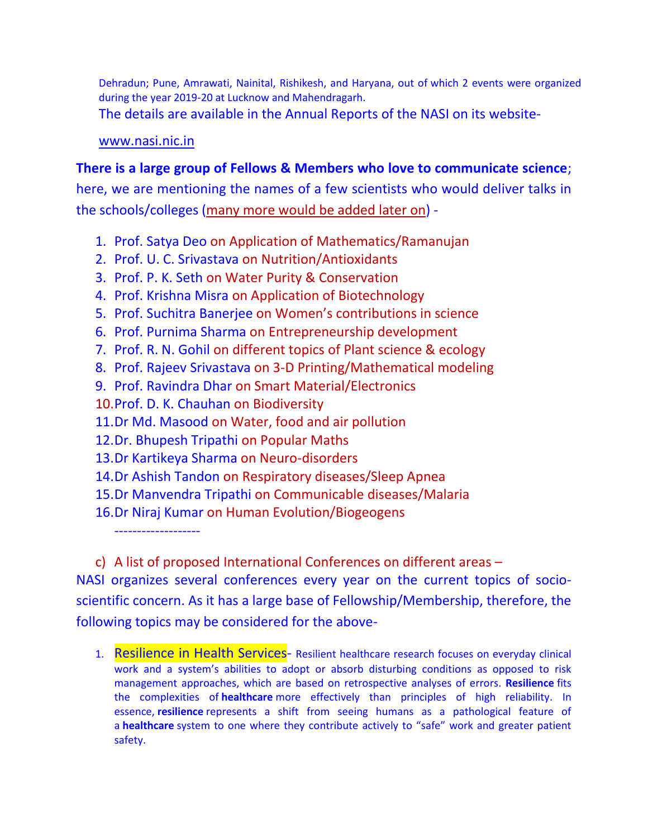Dehradun; Pune, Amrawati, Nainital, Rishikesh, and Haryana, out of which 2 events were organized during the year 2019-20 at Lucknow and Mahendragarh.

The details are available in the Annual Reports of the NASI on its website-

#### [www.nasi.nic.in](http://www.nasi.nic.in/)

### **There is a large group of Fellows & Members who love to communicate science**;

here, we are mentioning the names of a few scientists who would deliver talks in the schools/colleges (many more would be added later on) -

- 1. Prof. Satya Deo on Application of Mathematics/Ramanujan
- 2. Prof. U. C. Srivastava on Nutrition/Antioxidants
- 3. Prof. P. K. Seth on Water Purity & Conservation
- 4. Prof. Krishna Misra on Application of Biotechnology
- 5. Prof. Suchitra Banerjee on Women's contributions in science
- 6. Prof. Purnima Sharma on Entrepreneurship development
- 7. Prof. R. N. Gohil on different topics of Plant science & ecology
- 8. Prof. Rajeev Srivastava on 3-D Printing/Mathematical modeling
- 9. Prof. Ravindra Dhar on Smart Material/Electronics
- 10.Prof. D. K. Chauhan on Biodiversity
- 11.Dr Md. Masood on Water, food and air pollution
- 12.Dr. Bhupesh Tripathi on Popular Maths
- 13.Dr Kartikeya Sharma on Neuro-disorders
- 14.Dr Ashish Tandon on Respiratory diseases/Sleep Apnea
- 15.Dr Manvendra Tripathi on Communicable diseases/Malaria
- 16.Dr Niraj Kumar on Human Evolution/Biogeogens

-------------------

c) A list of proposed International Conferences on different areas –

NASI organizes several conferences every year on the current topics of socioscientific concern. As it has a large base of Fellowship/Membership, therefore, the following topics may be considered for the above-

1. Resilience in Health Services- Resilient healthcare research focuses on everyday clinical work and a system's abilities to adopt or absorb disturbing conditions as opposed to risk management approaches, which are based on retrospective analyses of errors. **Resilience** fits the complexities of **healthcare** more effectively than principles of high reliability. In essence, **resilience** represents a shift from seeing humans as a pathological feature of a **healthcare** system to one where they contribute actively to "safe" work and greater patient safety.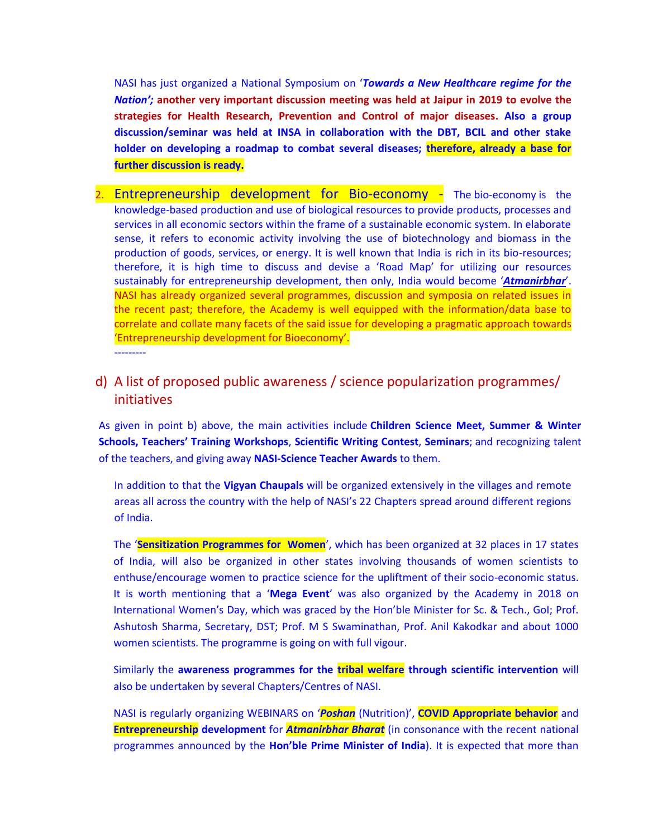NASI has just organized a National Symposium on '*Towards a New Healthcare regime for the Nation';* **another very important discussion meeting was held at Jaipur in 2019 to evolve the strategies for Health Research, Prevention and Control of major diseases. Also a group discussion/seminar was held at INSA in collaboration with the DBT, BCIL and other stake holder on developing a roadmap to combat several diseases; therefore, already a base for further discussion is ready.**

2. Entrepreneurship development for Bio-economy - The bio-economy is the knowledge-based production and use of biological resources to provide products, processes and services in all economic sectors within the frame of a sustainable economic system. In elaborate sense, it refers to economic activity involving the use of biotechnology and biomass in the production of goods, services, or energy. It is well known that India is rich in its bio-resources; therefore, it is high time to discuss and devise a 'Road Map' for utilizing our resources sustainably for entrepreneurship development, then only, India would become '*Atmanirbhar*'. NASI has already organized several programmes, discussion and symposia on related issues in the recent past; therefore, the Academy is well equipped with the information/data base to correlate and collate many facets of the said issue for developing a pragmatic approach towards 'Entrepreneurship development for Bioeconomy'.

---------

#### d) A list of proposed public awareness / science popularization programmes/ initiatives

As given in point b) above, the main activities include **Children Science Meet, Summer & Winter Schools, Teachers' Training Workshops**, **Scientific Writing Contest**, **Seminars**; and recognizing talent of the teachers, and giving away **NASI-Science Teacher Awards** to them.

In addition to that the **Vigyan Chaupals** will be organized extensively in the villages and remote areas all across the country with the help of NASI's 22 Chapters spread around different regions of India.

The '**Sensitization Programmes for Women**', which has been organized at 32 places in 17 states of India, will also be organized in other states involving thousands of women scientists to enthuse/encourage women to practice science for the upliftment of their socio-economic status. It is worth mentioning that a '**Mega Event**' was also organized by the Academy in 2018 on International Women's Day, which was graced by the Hon'ble Minister for Sc. & Tech., GoI; Prof. Ashutosh Sharma, Secretary, DST; Prof. M S Swaminathan, Prof. Anil Kakodkar and about 1000 women scientists. The programme is going on with full vigour.

Similarly the **awareness programmes for the tribal welfare through scientific intervention** will also be undertaken by several Chapters/Centres of NASI.

NASI is regularly organizing WEBINARS on '*Poshan* (Nutrition)', **COVID Appropriate behavior** and **Entrepreneurship development** for *Atmanirbhar Bharat* (in consonance with the recent national programmes announced by the **Hon'ble Prime Minister of India**). It is expected that more than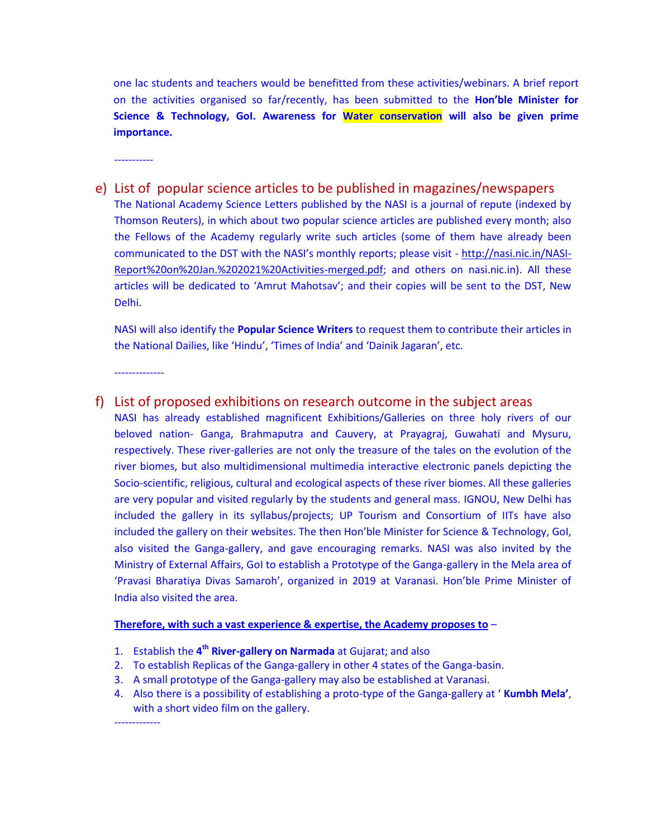one lac students and teachers would be benefitted from these activities/webinars. A brief report on the activities organised so far/recently, has been submitted to the **Hon'ble Minister for Science & Technology, GoI. Awareness for Water conservation will also be given prime importance.**

-----------

e) List of popular science articles to be published in magazines/newspapers The National Academy Science Letters published by the NASI is a journal of repute (indexed by Thomson Reuters), in which about two popular science articles are published every month; also the Fellows of the Academy regularly write such articles (some of them have already been communicated to the DST with the NASI's monthly reports; please visit - [http://nasi.nic.in/NASI-](http://nasi.nic.in/NASI-Report%20on%20Jan.%202021%20Activities-merged.pdf)[Report%20on%20Jan.%202021%20Activities-merged.pdf;](http://nasi.nic.in/NASI-Report%20on%20Jan.%202021%20Activities-merged.pdf) and others on nasi.nic.in). All these articles will be dedicated to 'Amrut Mahotsav'; and their copies will be sent to the DST, New Delhi.

NASI will also identify the **Popular Science Writers** to request them to contribute their articles in the National Dailies, like 'Hindu', 'Times of India' and 'Dainik Jagaran', etc.

--------------

#### f) List of proposed exhibitions on research outcome in the subject areas

NASI has already established magnificent Exhibitions/Galleries on three holy rivers of our beloved nation- Ganga, Brahmaputra and Cauvery, at Prayagraj, Guwahati and Mysuru, respectively. These river-galleries are not only the treasure of the tales on the evolution of the river biomes, but also multidimensional multimedia interactive electronic panels depicting the Socio-scientific, religious, cultural and ecological aspects of these river biomes. All these galleries are very popular and visited regularly by the students and general mass. IGNOU, New Delhi has included the gallery in its syllabus/projects; UP Tourism and Consortium of IITs have also included the gallery on their websites. The then Hon'ble Minister for Science & Technology, GoI, also visited the Ganga-gallery, and gave encouraging remarks. NASI was also invited by the Ministry of External Affairs, GoI to establish a Prototype of the Ganga-gallery in the Mela area of 'Pravasi Bharatiya Divas Samaroh', organized in 2019 at Varanasi. Hon'ble Prime Minister of India also visited the area.

#### **Therefore, with such a vast experience & expertise, the Academy proposes to** –

- 1. Establish the **4 th River-gallery on Narmada** at Gujarat; and also
- 2. To establish Replicas of the Ganga-gallery in other 4 states of the Ganga-basin.
- 3. A small prototype of the Ganga-gallery may also be established at Varanasi.
- 4. Also there is a possibility of establishing a proto-type of the Ganga-gallery at ' **Kumbh Mela'**, with a short video film on the gallery.

-------------